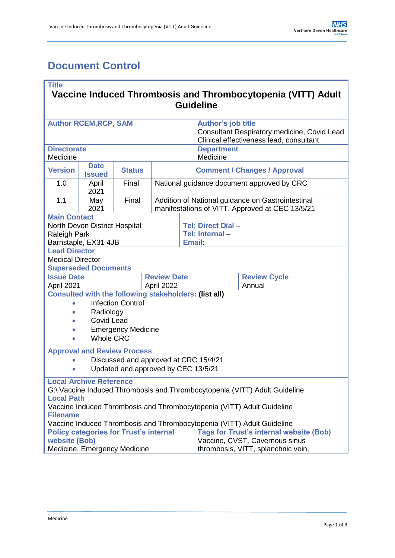# <span id="page-0-0"></span>**Document Control**

| <b>Title</b>                                                                                    |                                               |       |                                                                                                      |                                                                                        |                                |                                                                            |  |  |
|-------------------------------------------------------------------------------------------------|-----------------------------------------------|-------|------------------------------------------------------------------------------------------------------|----------------------------------------------------------------------------------------|--------------------------------|----------------------------------------------------------------------------|--|--|
| Vaccine Induced Thrombosis and Thrombocytopenia (VITT) Adult                                    |                                               |       |                                                                                                      |                                                                                        |                                |                                                                            |  |  |
| <b>Guideline</b>                                                                                |                                               |       |                                                                                                      |                                                                                        |                                |                                                                            |  |  |
| <b>Author RCEM, RCP, SAM</b>                                                                    |                                               |       |                                                                                                      | <b>Author's job title</b>                                                              |                                |                                                                            |  |  |
|                                                                                                 |                                               |       |                                                                                                      | Consultant Respiratory medicine, Covid Lead<br>Clinical effectiveness lead, consultant |                                |                                                                            |  |  |
| <b>Directorate</b><br>Medicine                                                                  |                                               |       |                                                                                                      |                                                                                        | <b>Department</b><br>Medicine  |                                                                            |  |  |
| <b>Version</b>                                                                                  | <b>Date</b><br><b>Status</b><br><b>Issued</b> |       |                                                                                                      |                                                                                        |                                | <b>Comment / Changes / Approval</b>                                        |  |  |
| 1.0                                                                                             | April<br>2021                                 | Final | National guidance document approved by CRC                                                           |                                                                                        |                                |                                                                            |  |  |
| 1.1                                                                                             | May<br>2021                                   | Final | Addition of National guidance on Gastrointestinal<br>manifestations of VITT. Approved at CEC 13/5/21 |                                                                                        |                                |                                                                            |  |  |
| <b>Main Contact</b>                                                                             |                                               |       |                                                                                                      |                                                                                        |                                |                                                                            |  |  |
| North Devon District Hospital                                                                   |                                               |       |                                                                                                      |                                                                                        | Tel: Direct Dial -             |                                                                            |  |  |
| <b>Raleigh Park</b>                                                                             |                                               |       |                                                                                                      |                                                                                        | Tel: Internal-                 |                                                                            |  |  |
| Barnstaple, EX31 4JB<br><b>Lead Director</b>                                                    |                                               |       |                                                                                                      |                                                                                        | <b>Email:</b>                  |                                                                            |  |  |
| <b>Medical Director</b>                                                                         |                                               |       |                                                                                                      |                                                                                        |                                |                                                                            |  |  |
|                                                                                                 | <b>Superseded Documents</b>                   |       |                                                                                                      |                                                                                        |                                |                                                                            |  |  |
| <b>Issue Date</b>                                                                               |                                               |       |                                                                                                      | <b>Review Date</b>                                                                     |                                | <b>Review Cycle</b>                                                        |  |  |
| April 2021                                                                                      |                                               |       | April 2022                                                                                           |                                                                                        |                                | Annual                                                                     |  |  |
| Consulted with the following stakeholders: (list all)                                           |                                               |       |                                                                                                      |                                                                                        |                                |                                                                            |  |  |
| <b>Infection Control</b><br>$\bullet$                                                           |                                               |       |                                                                                                      |                                                                                        |                                |                                                                            |  |  |
| Radiology<br>$\bullet$                                                                          |                                               |       |                                                                                                      |                                                                                        |                                |                                                                            |  |  |
| <b>Covid Lead</b><br>$\bullet$                                                                  |                                               |       |                                                                                                      |                                                                                        |                                |                                                                            |  |  |
| <b>Emergency Medicine</b><br><b>Whole CRC</b><br>$\bullet$                                      |                                               |       |                                                                                                      |                                                                                        |                                |                                                                            |  |  |
| <b>Approval and Review Process</b>                                                              |                                               |       |                                                                                                      |                                                                                        |                                |                                                                            |  |  |
| Discussed and approved at CRC 15/4/21                                                           |                                               |       |                                                                                                      |                                                                                        |                                |                                                                            |  |  |
| Updated and approved by CEC 13/5/21                                                             |                                               |       |                                                                                                      |                                                                                        |                                |                                                                            |  |  |
| <b>Local Archive Reference</b>                                                                  |                                               |       |                                                                                                      |                                                                                        |                                |                                                                            |  |  |
|                                                                                                 |                                               |       |                                                                                                      |                                                                                        |                                | G:\ Vaccine Induced Thrombosis and Thrombocytopenia (VITT) Adult Guideline |  |  |
| <b>Local Path</b>                                                                               |                                               |       |                                                                                                      |                                                                                        |                                |                                                                            |  |  |
| Vaccine Induced Thrombosis and Thrombocytopenia (VITT) Adult Guideline                          |                                               |       |                                                                                                      |                                                                                        |                                |                                                                            |  |  |
| <b>Filename</b><br>Vaccine Induced Thrombosis and Thrombocytopenia (VITT) Adult Guideline       |                                               |       |                                                                                                      |                                                                                        |                                |                                                                            |  |  |
| <b>Tags for Trust's internal website (Bob)</b><br><b>Policy categories for Trust's internal</b> |                                               |       |                                                                                                      |                                                                                        |                                |                                                                            |  |  |
| website (Bob)                                                                                   |                                               |       |                                                                                                      |                                                                                        | Vaccine, CVST, Cavernous sinus |                                                                            |  |  |
| Medicine, Emergency Medicine                                                                    |                                               |       |                                                                                                      | thrombosis, VITT, splanchnic vein,                                                     |                                |                                                                            |  |  |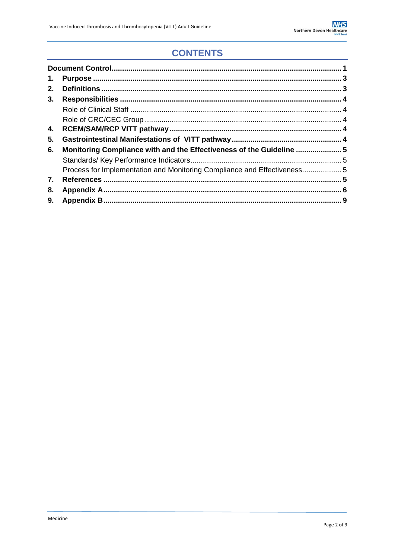### **CONTENTS**

| 1. |                                                                         |  |
|----|-------------------------------------------------------------------------|--|
| 2. |                                                                         |  |
| 3. |                                                                         |  |
|    |                                                                         |  |
|    |                                                                         |  |
| 4. |                                                                         |  |
| 5. |                                                                         |  |
| 6. | Monitoring Compliance with and the Effectiveness of the Guideline  5    |  |
|    |                                                                         |  |
|    | Process for Implementation and Monitoring Compliance and Effectiveness5 |  |
| 7. |                                                                         |  |
| 8. |                                                                         |  |
| 9. |                                                                         |  |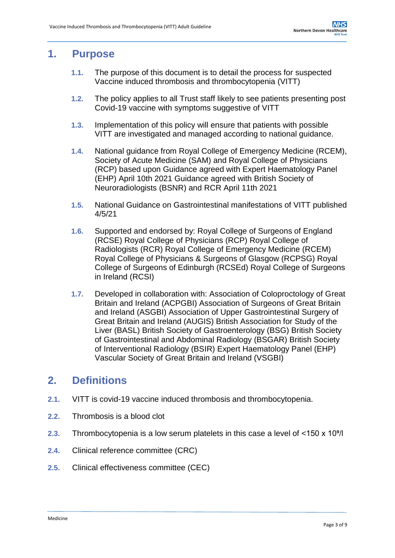### <span id="page-2-0"></span>**1. Purpose**

- **1.1.** The purpose of this document is to detail the process for suspected Vaccine induced thrombosis and thrombocytopenia (VITT)
- **1.2.** The policy applies to all Trust staff likely to see patients presenting post Covid-19 vaccine with symptoms suggestive of VITT
- **1.3.** Implementation of this policy will ensure that patients with possible VITT are investigated and managed according to national guidance.
- **1.4.** National guidance from Royal College of Emergency Medicine (RCEM), Society of Acute Medicine (SAM) and Royal College of Physicians (RCP) based upon Guidance agreed with Expert Haematology Panel (EHP) April 10th 2021 Guidance agreed with British Society of Neuroradiologists (BSNR) and RCR April 11th 2021
- **1.5.** National Guidance on Gastrointestinal manifestations of VITT published 4/5/21
- **1.6.** Supported and endorsed by: Royal College of Surgeons of England (RCSE) Royal College of Physicians (RCP) Royal College of Radiologists (RCR) Royal College of Emergency Medicine (RCEM) Royal College of Physicians & Surgeons of Glasgow (RCPSG) Royal College of Surgeons of Edinburgh (RCSEd) Royal College of Surgeons in Ireland (RCSI)
- **1.7.** Developed in collaboration with: Association of Coloproctology of Great Britain and Ireland (ACPGBI) Association of Surgeons of Great Britain and Ireland (ASGBI) Association of Upper Gastrointestinal Surgery of Great Britain and Ireland (AUGIS) British Association for Study of the Liver (BASL) British Society of Gastroenterology (BSG) British Society of Gastrointestinal and Abdominal Radiology (BSGAR) British Society of Interventional Radiology (BSIR) Expert Haematology Panel (EHP) Vascular Society of Great Britain and Ireland (VSGBI)

### <span id="page-2-1"></span>**2. Definitions**

- **2.1.** VITT is covid-19 vaccine induced thrombosis and thrombocytopenia.
- **2.2.** Thrombosis is a blood clot
- **2.3.** Thrombocytopenia is a low serum platelets in this case a level of <150 x 10⁹/l
- **2.4.** Clinical reference committee (CRC)
- **2.5.** Clinical effectiveness committee (CEC)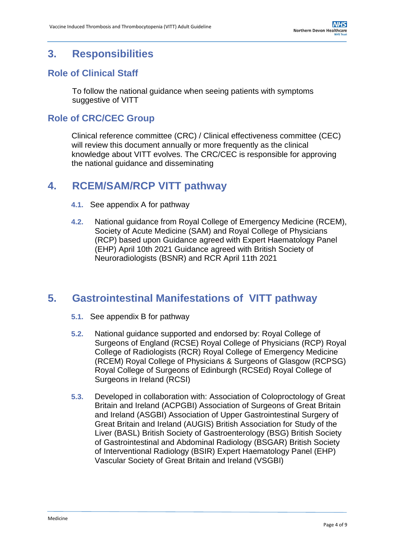### <span id="page-3-0"></span>**3. Responsibilities**

#### <span id="page-3-1"></span>**Role of Clinical Staff**

To follow the national guidance when seeing patients with symptoms suggestive of VITT

#### <span id="page-3-2"></span>**Role of CRC/CEC Group**

Clinical reference committee (CRC) / Clinical effectiveness committee (CEC) will review this document annually or more frequently as the clinical knowledge about VITT evolves. The CRC/CEC is responsible for approving the national guidance and disseminating

### <span id="page-3-3"></span>**4. RCEM/SAM/RCP VITT pathway**

- **4.1.** See appendix A for pathway
- **4.2.** National guidance from Royal College of Emergency Medicine (RCEM), Society of Acute Medicine (SAM) and Royal College of Physicians (RCP) based upon Guidance agreed with Expert Haematology Panel (EHP) April 10th 2021 Guidance agreed with British Society of Neuroradiologists (BSNR) and RCR April 11th 2021

#### <span id="page-3-4"></span>**5. Gastrointestinal Manifestations of VITT pathway**

- **5.1.** See appendix B for pathway
- **5.2.** National guidance supported and endorsed by: Royal College of Surgeons of England (RCSE) Royal College of Physicians (RCP) Royal College of Radiologists (RCR) Royal College of Emergency Medicine (RCEM) Royal College of Physicians & Surgeons of Glasgow (RCPSG) Royal College of Surgeons of Edinburgh (RCSEd) Royal College of Surgeons in Ireland (RCSI)
- **5.3.** Developed in collaboration with: Association of Coloproctology of Great Britain and Ireland (ACPGBI) Association of Surgeons of Great Britain and Ireland (ASGBI) Association of Upper Gastrointestinal Surgery of Great Britain and Ireland (AUGIS) British Association for Study of the Liver (BASL) British Society of Gastroenterology (BSG) British Society of Gastrointestinal and Abdominal Radiology (BSGAR) British Society of Interventional Radiology (BSIR) Expert Haematology Panel (EHP) Vascular Society of Great Britain and Ireland (VSGBI)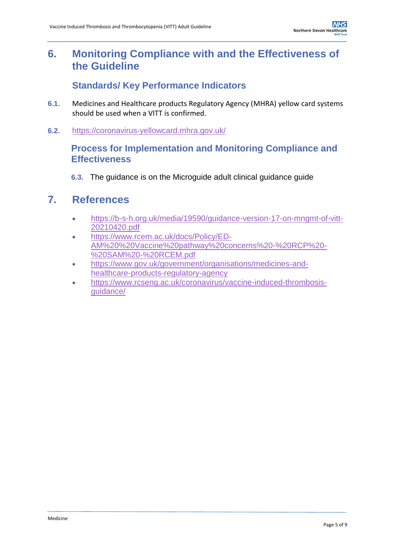### <span id="page-4-0"></span>**6. Monitoring Compliance with and the Effectiveness of the Guideline**

#### **Standards/ Key Performance Indicators**

- <span id="page-4-1"></span>**6.1.** Medicines and Healthcare products Regulatory Agency (MHRA) yellow card systems should be used when a VITT is confirmed.
- <span id="page-4-2"></span>**6.2.** <https://coronavirus-yellowcard.mhra.gov.uk/>

#### **Process for Implementation and Monitoring Compliance and Effectiveness**

**6.3.** The guidance is on the Microguide adult clinical guidance guide

#### <span id="page-4-3"></span>**7. References**

- [https://b-s-h.org.uk/media/19590/guidance-version-17-on-mngmt-of-vitt-](https://b-s-h.org.uk/media/19590/guidance-version-17-on-mngmt-of-vitt-20210420.pdf)[20210420.pdf](https://b-s-h.org.uk/media/19590/guidance-version-17-on-mngmt-of-vitt-20210420.pdf)
- [https://www.rcem.ac.uk/docs/Policy/ED-](https://www.rcem.ac.uk/docs/Policy/ED-AM%20%20Vaccine%20pathway%20concerns%20-%20RCP%20-%20SAM%20-%20RCEM.pdf)[AM%20%20Vaccine%20pathway%20concerns%20-%20RCP%20-](https://www.rcem.ac.uk/docs/Policy/ED-AM%20%20Vaccine%20pathway%20concerns%20-%20RCP%20-%20SAM%20-%20RCEM.pdf) [%20SAM%20-%20RCEM.pdf](https://www.rcem.ac.uk/docs/Policy/ED-AM%20%20Vaccine%20pathway%20concerns%20-%20RCP%20-%20SAM%20-%20RCEM.pdf)
- [https://www.gov.uk/government/organisations/medicines-and](https://www.gov.uk/government/organisations/medicines-and-healthcare-products-regulatory-agency)[healthcare-products-regulatory-agency](https://www.gov.uk/government/organisations/medicines-and-healthcare-products-regulatory-agency)
- [https://www.rcseng.ac.uk/coronavirus/vaccine-induced-thrombosis](https://www.rcseng.ac.uk/coronavirus/vaccine-induced-thrombosis-guidance/)[guidance/](https://www.rcseng.ac.uk/coronavirus/vaccine-induced-thrombosis-guidance/)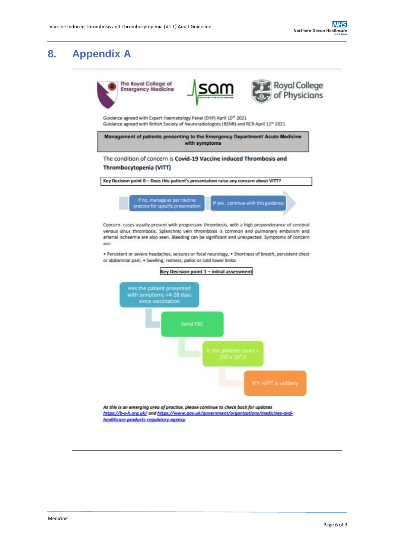<span id="page-5-0"></span>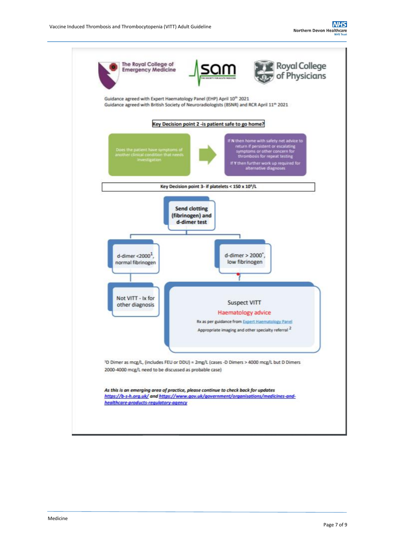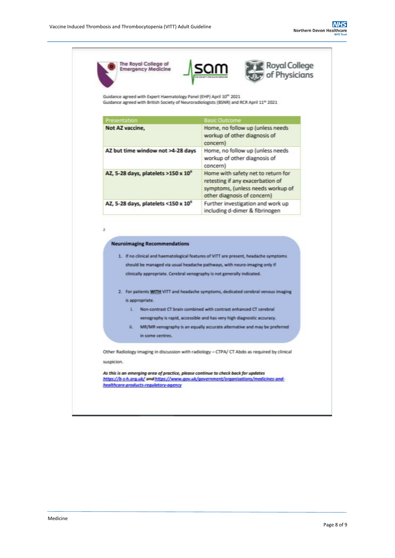